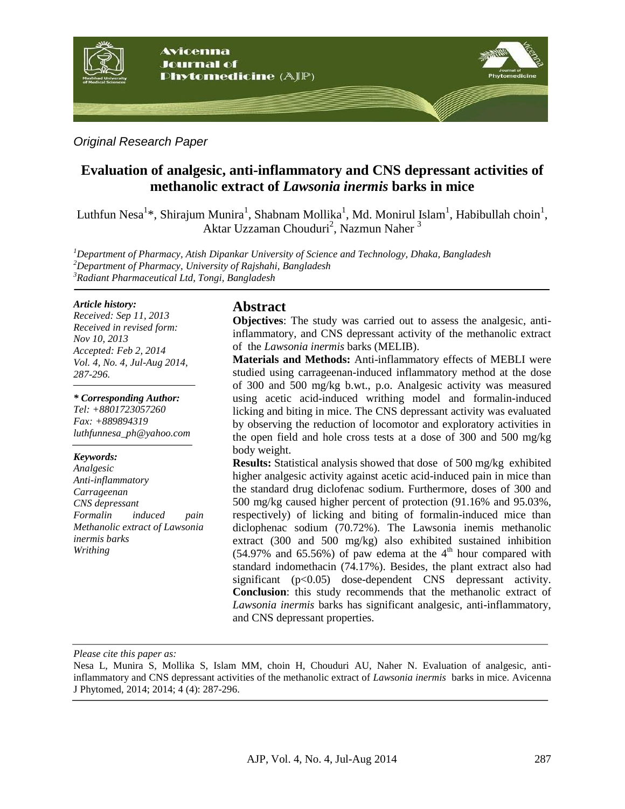

## *Original Research Paper*

# **Evaluation of analgesic, anti-inflammatory and CNS depressant activities of methanolic extract of** *Lawsonia inermis* **barks in mice**

Luthfun Nesa<sup>1\*</sup>, Shirajum Munira<sup>1</sup>, Shabnam Mollika<sup>1</sup>, Md. Monirul Islam<sup>1</sup>, Habibullah choin<sup>1</sup>, Aktar Uzzaman Chouduri<sup>2</sup>, Nazmun Naher<sup>3</sup>

*<sup>1</sup>Department of Pharmacy, Atish Dipankar University of Science and Technology, Dhaka, Bangladesh <sup>2</sup>Department of Pharmacy, University of Rajshahi, Bangladesh <sup>3</sup>Radiant Pharmaceutical Ltd, Tongi, Bangladesh*

#### *Article history:*

*Received: Sep 11, 2013 Received in revised form: Nov 10, 2013 Accepted: Feb 2, 2014 Vol. 4, No. 4, Jul-Aug 2014, 287-296.*

#### *\* Corresponding Author:*

*Tel: +8801723057260 Fax: +889894319 [luthfunnesa\\_ph@yahoo.com](mailto:luthfunnesa_ph@yahoo.com)*

#### *Keywords:*

*Analgesic Anti-inflammatory Carrageenan CNS depressant Formalin induced pain Methanolic extract of Lawsonia inermis barks Writhing* 

#### **Abstract**

**Objectives**: The study was carried out to assess the analgesic, antiinflammatory, and CNS depressant activity of the methanolic extract of the *Lawsonia inermis* barks (MELIB).

**Materials and Methods:** Anti-inflammatory effects of MEBLI were studied using carrageenan-induced inflammatory method at the dose of 300 and 500 mg/kg b.wt., p.o. Analgesic activity was measured using acetic acid-induced writhing model and formalin-induced licking and biting in mice. The CNS depressant activity was evaluated by observing the reduction of locomotor and exploratory activities in the open field and hole cross tests at a dose of 300 and 500 mg/kg body weight.

**Results:** Statistical analysis showed that dose of 500 mg/kg exhibited higher analgesic activity against acetic acid-induced pain in mice than the standard drug diclofenac sodium. Furthermore, doses of 300 and 500 mg/kg caused higher percent of protection (91.16% and 95.03%, respectively) of licking and biting of formalin-induced mice than diclophenac sodium (70.72%). The Lawsonia inemis methanolic extract (300 and 500 mg/kg) also exhibited sustained inhibition  $(54.97\%$  and  $65.56\%)$  of paw edema at the 4<sup>th</sup> hour compared with standard indomethacin (74.17%). Besides, the plant extract also had significant (p<0.05) dose-dependent CNS depressant activity. **Conclusion**: this study recommends that the methanolic extract of *Lawsonia inermis* barks has significant analgesic, anti-inflammatory, and CNS depressant properties.

#### *Please cite this paper as:*

Nesa L, Munira S, Mollika S, Islam MM, choin H, Chouduri AU, Naher N. Evaluation of analgesic, antiinflammatory and CNS depressant activities of the methanolic extract of *Lawsonia inermis* barks in mice. Avicenna J Phytomed, 2014; 2014; 4 (4): 287-296.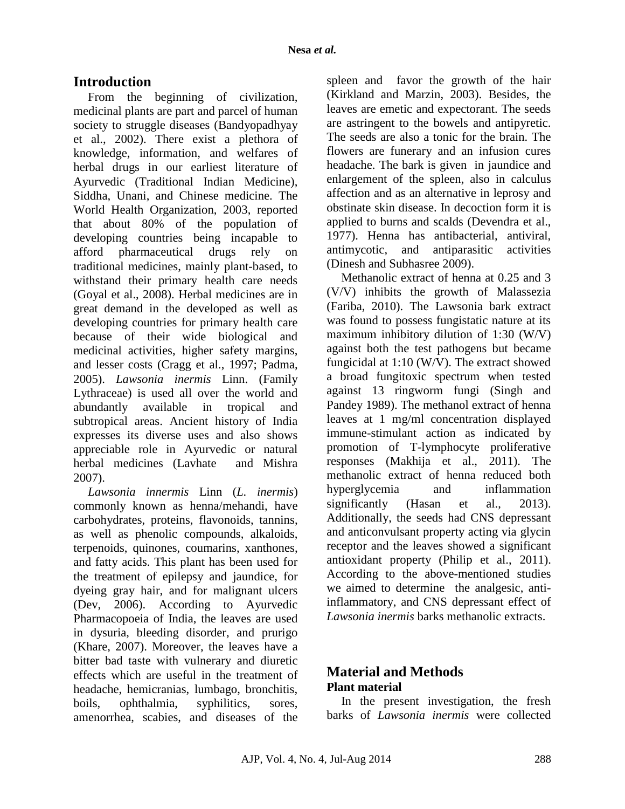# **Introduction**

From the beginning of civilization, medicinal plants are part and parcel of human society to struggle diseases (Bandyopadhyay et al., 2002). There exist a plethora of knowledge, information, and welfares of herbal drugs in our earliest literature of Ayurvedic (Traditional Indian Medicine), Siddha, Unani, and Chinese medicine. The World Health Organization, 2003, reported that about 80% of the population of developing countries being incapable to afford pharmaceutical drugs rely on traditional medicines, mainly plant-based, to withstand their primary health care needs (Goyal et al., 2008). Herbal medicines are in great demand in the developed as well as developing countries for primary health care because of their wide biological and medicinal activities, higher safety margins, and lesser costs (Cragg et al., 1997; Padma, 2005). *Lawsonia inermis* Linn. (Family Lythraceae) is used all over the world and abundantly available in tropical and subtropical areas. Ancient history of India expresses its diverse uses and also shows appreciable role in Ayurvedic or natural herbal medicines (Lavhate and Mishra 2007).

*Lawsonia innermis* Linn (*L. inermis*) commonly known as henna/mehandi, have carbohydrates, proteins, flavonoids, tannins, as well as phenolic compounds, alkaloids, terpenoids, quinones, coumarins, xanthones, and fatty acids. This plant has been used for the treatment of epilepsy and jaundice, for dyeing gray hair, and for malignant ulcers (Dev, 2006). According to Ayurvedic Pharmacopoeia of India, the leaves are used in dysuria, bleeding disorder, and prurigo (Khare, 2007). Moreover, the leaves have a bitter bad taste with vulnerary and diuretic effects which are useful in the treatment of headache, hemicranias, lumbago, bronchitis, boils, ophthalmia, syphilitics, sores, amenorrhea, scabies, and diseases of the

spleen and favor the growth of the hair (Kirkland and Marzin, 2003). Besides, the leaves are emetic and expectorant. The seeds are astringent to the bowels and antipyretic. The seeds are also a tonic for the brain. The flowers are funerary and an infusion cures headache. The bark is given in jaundice and enlargement of the spleen, also in calculus affection and as an alternative in leprosy and obstinate skin disease. In decoction form it is applied to burns and scalds (Devendra et al., 1977). Henna has antibacterial, antiviral, antimycotic, and antiparasitic activities (Dinesh and Subhasree 2009).

Methanolic extract of henna at 0.25 and 3 (V/V) inhibits the growth of Malassezia (Fariba, 2010). The Lawsonia bark extract was found to possess fungistatic nature at its maximum inhibitory dilution of 1:30 (W/V) against both the test pathogens but became fungicidal at 1:10 (W/V). The extract showed a broad fungitoxic spectrum when tested against 13 ringworm fungi [\(Singh a](http://www.ncbi.nlm.nih.gov/pubmed?term=Singh%20VK%5BAuthor%5D&cauthor=true&cauthor_uid=2613539)nd [Pandey 1](http://www.ncbi.nlm.nih.gov/pubmed?term=Pandey%20DK%5BAuthor%5D&cauthor=true&cauthor_uid=2613539)989). The methanol extract of henna leaves at 1 mg/ml concentration displayed immune-stimulant action as indicated by promotion of T-lymphocyte proliferative responses (Makhija et al., 2011). The methanolic extract of henna reduced both hyperglycemia and inflammation significantly (Hasan et al., 2013). Additionally, the seeds had CNS depressant and anticonvulsant property acting via glycin receptor and the leaves showed a significant antioxidant property (Philip et al., 2011). According to the above-mentioned studies we aimed to determine the analgesic, antiinflammatory, and CNS depressant effect of *Lawsonia inermis* barks methanolic extracts.

# **Material and Methods Plant material**

In the present investigation, the fresh barks of *Lawsonia inermis* were collected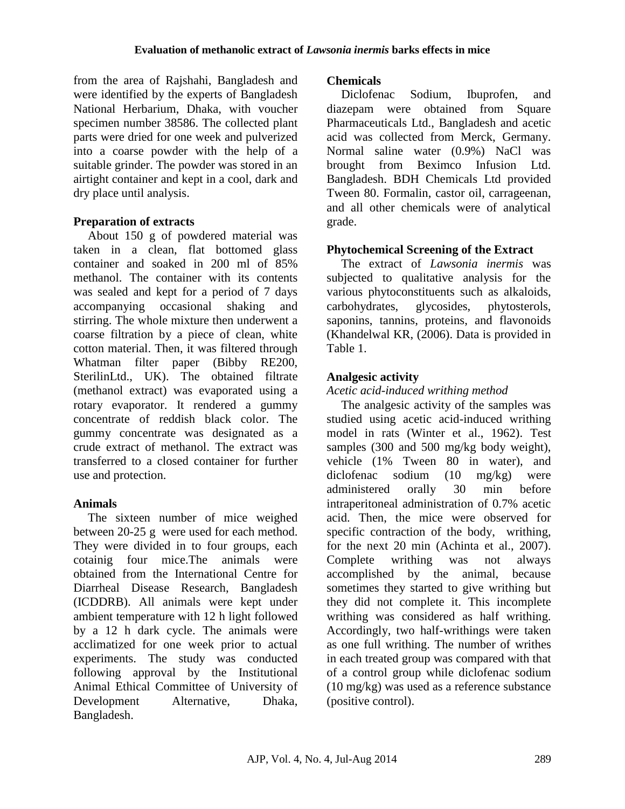from the area of Rajshahi, Bangladesh and were identified by the experts of Bangladesh National Herbarium, Dhaka, with voucher specimen number 38586. The collected plant parts were dried for one week and pulverized into a coarse powder with the help of a suitable grinder. The powder was stored in an airtight container and kept in a cool, dark and dry place until analysis.

## **Preparation of extracts**

About 150 g of powdered material was taken in a clean, flat bottomed glass container and soaked in 200 ml of 85% methanol. The container with its contents was sealed and kept for a period of 7 days accompanying occasional shaking and stirring. The whole mixture then underwent a coarse filtration by a piece of clean, white cotton material. Then, it was filtered through Whatman filter paper (Bibby RE200, SterilinLtd., UK). The obtained filtrate (methanol extract) was evaporated using a rotary evaporator. It rendered a gummy concentrate of reddish black color. The gummy concentrate was designated as a crude extract of methanol. The extract was transferred to a closed container for further use and protection.

### **Animals**

The sixteen number of mice weighed between 20-25 g were used for each method. They were divided in to four groups, each cotainig four mice.The animals were obtained from the International Centre for Diarrheal Disease Research, Bangladesh (ICDDRB). All animals were kept under ambient temperature with 12 h light followed by a 12 h dark cycle. The animals were acclimatized for one week prior to actual experiments. The study was conducted following approval by the Institutional Animal Ethical Committee of University of Development Alternative, Dhaka, Bangladesh.

### **Chemicals**

Diclofenac Sodium, Ibuprofen, and diazepam were obtained from Square Pharmaceuticals Ltd., Bangladesh and acetic acid was collected from Merck, Germany. Normal saline water (0.9%) NaCl was brought from Beximco Infusion Ltd. Bangladesh. BDH Chemicals Ltd provided Tween 80. Formalin, castor oil, carrageenan, and all other chemicals were of analytical grade.

# **Phytochemical Screening of the Extract**

The extract of *Lawsonia inermis* was subjected to qualitative analysis for the various phytoconstituents such as alkaloids, carbohydrates, glycosides, phytosterols, saponins, tannins, proteins, and flavonoids (Khandelwal KR, (2006). Data is provided in Table 1.

# **Analgesic activity**

### *Acetic acid-induced writhing method*

The analgesic activity of the samples was studied using acetic acid-induced writhing model in rats (Winter et al., 1962). Test samples (300 and 500 mg/kg body weight), vehicle (1% Tween 80 in water), and diclofenac sodium (10 mg/kg) were administered orally 30 min before intraperitoneal administration of 0.7% acetic acid. Then, the mice were observed for specific contraction of the body, writhing, for the next 20 min [\(Achinta](http://informahealthcare.com/action/doSearch?action=runSearch&type=advanced&result=true&prevSearch=%2Bauthorsfield%3A%28Saha%2C+Achinta%29) et al., 2007). Complete writhing was not always accomplished by the animal, because sometimes they started to give writhing but they did not complete it. This incomplete writhing was considered as half writhing. Accordingly, two half-writhings were taken as one full writhing. The number of writhes in each treated group was compared with that of a control group while diclofenac sodium (10 mg/kg) was used as a reference substance (positive control).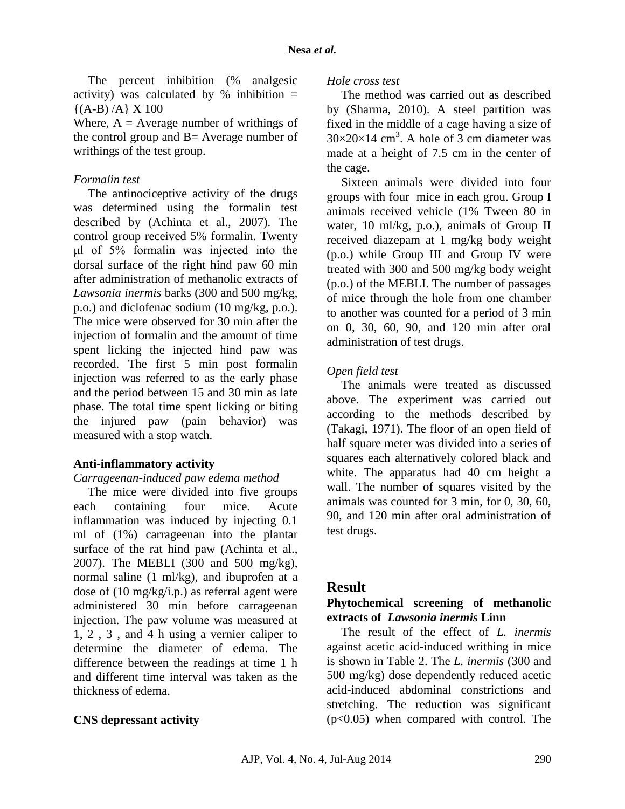The percent inhibition (% analgesic activity) was calculated by  $%$  inhibition =  $\{(A-B)/A\} X 100$ 

Where,  $A = Average$  number of writhings of the control group and B= Average number of writhings of the test group.

# *Formalin test*

The antinociceptive activity of the drugs was determined using the formalin test described by [\(Achinta](http://informahealthcare.com/action/doSearch?action=runSearch&type=advanced&result=true&prevSearch=%2Bauthorsfield%3A%28Saha%2C+Achinta%29) et al., 2007). The control group received 5% formalin. Twenty μl of 5% formalin was injected into the dorsal surface of the right hind paw 60 min after administration of methanolic extracts of *Lawsonia inermis* barks (300 and 500 mg/kg, p.o.) and diclofenac sodium (10 mg/kg, p.o.). The mice were observed for 30 min after the injection of formalin and the amount of time spent licking the injected hind paw was recorded. The first 5 min post formalin injection was referred to as the early phase and the period between 15 and 30 min as late phase. The total time spent licking or biting the injured paw (pain behavior) was measured with a stop watch.

# **Anti-inflammatory activity**

### *Carrageenan-induced paw edema method*

The mice were divided into five groups each containing four mice. Acute inflammation was induced by injecting 0.1 ml of (1%) carrageenan into the plantar surface of the rat hind paw [\(Achinta e](http://informahealthcare.com/action/doSearch?action=runSearch&type=advanced&result=true&prevSearch=%2Bauthorsfield%3A%28Saha%2C+Achinta%29)t al., 2007). The MEBLI (300 and 500 mg/kg), normal saline (1 ml/kg), and ibuprofen at a dose of (10 mg/kg/i.p.) as referral agent were administered 30 min before carrageenan injection. The paw volume was measured at 1, 2 , 3 , and 4 h using a vernier caliper to determine the diameter of edema. The difference between the readings at time 1 h and different time interval was taken as the thickness of edema.

# **CNS depressant activity**

## *Hole cross test*

The method was carried out as described by (Sharma, 2010). A steel partition was fixed in the middle of a cage having a size of  $30\times20\times14$  cm<sup>3</sup>. A hole of 3 cm diameter was made at a height of 7.5 cm in the center of the cage.

Sixteen animals were divided into four groups with four mice in each grou. Group I animals received vehicle (1% Tween 80 in water, 10 ml/kg, p.o.), animals of Group II received diazepam at 1 mg/kg body weight (p.o.) while Group III and Group IV were treated with 300 and 500 mg/kg body weight (p.o.) of the MEBLI. The number of passages of mice through the hole from one chamber to another was counted for a period of 3 min on 0, 30, 60, 90, and 120 min after oral administration of test drugs.

# *Open field test*

The animals were treated as discussed above. The experiment was carried out according to the methods described by (Takagi, 1971). The floor of an open field of half square meter was divided into a series of squares each alternatively colored black and white. The apparatus had 40 cm height a wall. The number of squares visited by the animals was counted for 3 min, for 0, 30, 60, 90, and 120 min after oral administration of test drugs.

# **Result**

# **Phytochemical screening of methanolic extracts of** *Lawsonia inermis* **Linn**

The result of the effect of *L. inermis* against acetic acid-induced writhing in mice is shown in Table 2. The *L. inermis* (300 and 500 mg/kg) dose dependently reduced acetic acid-induced abdominal constrictions and stretching. The reduction was significant  $(p<0.05)$  when compared with control. The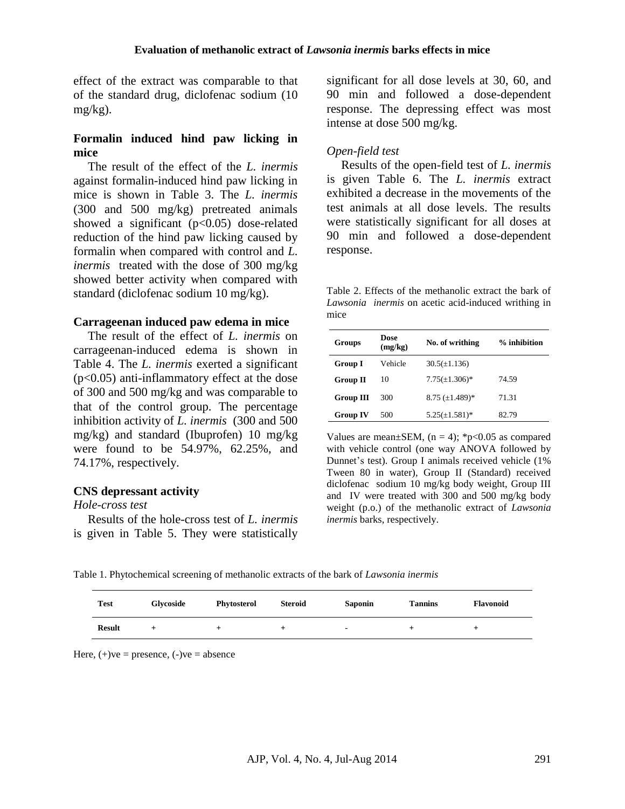effect of the extract was comparable to that of the standard drug, diclofenac sodium (10 mg/kg).

## **Formalin induced hind paw licking in mice**

The result of the effect of the *L. inermis*  against formalin-induced hind paw licking in mice is shown in [Table 3.](http://pharmacologia.co.uk/abstract.php?doi=pharmacologia.2011.172.177#t2) The *L. inermis* (300 and 500 mg/kg) pretreated animals showed a significant  $(p<0.05)$  dose-related reduction of the hind paw licking caused by formalin when compared with control and *L. inermis* treated with the dose of 300 mg/kg showed better activity when compared with standard (diclofenac sodium 10 mg/kg).

#### **Carrageenan induced paw edema in mice**

The result of the effect of *L. inermis* on carrageenan-induced edema is shown in Table 4. The *L. inermis* exerted a significant  $(p<0.05)$  anti-inflammatory effect at the dose of 300 and 500 mg/kg and was comparable to that of the control group. The percentage inhibition activity of *L. inermis* (300 and 500 mg/kg) and standard (Ibuprofen) 10 mg/kg were found to be 54.97%, 62.25%, and 74.17%, respectively.

### **CNS depressant activity**

#### *Hole-cross test*

Results of the hole-cross test of *L. inermis* is given in Table 5. They were statistically

significant for all dose levels at 30, 60, and 90 min and followed a dose-dependent response. The depressing effect was most intense at dose 500 mg/kg.

### *Open-field test*

Results of the open-field test of *L. inermis*  is given Table 6. The *L. inermis* extract exhibited a decrease in the movements of the test animals at all dose levels. The results were statistically significant for all doses at 90 min and followed a dose-dependent response.

Table 2. Effects of the methanolic extract the bark of *Lawsonia inermis* on acetic acid-induced writhing in mice

| Groups           | Dose<br>(mg/kg) | No. of writhing        | $%$ inhibition |
|------------------|-----------------|------------------------|----------------|
| <b>Group I</b>   | Vehicle         | $30.5(\pm 1.136)$      |                |
| <b>Group II</b>  | 10              | $7.75(\pm 1.306)^*$    | 74.59          |
| <b>Group III</b> | 300             | $8.75 \ (\pm 1.489)^*$ | 71.31          |
| <b>Group IV</b>  | 500             | $5.25(\pm 1.581)^*$    | 82.79          |

Values are mean $\pm$ SEM, (n = 4); \*p<0.05 as compared with vehicle control (one way ANOVA followed by Dunnet's test). Group I animals received vehicle (1% Tween 80 in water), Group II (Standard) received diclofenac sodium 10 mg/kg body weight, Group III and IV were treated with 300 and 500 mg/kg body weight (p.o.) of the methanolic extract of *Lawsonia inermis* barks, respectively.

Table 1. Phytochemical screening of methanolic extracts of the bark of *Lawsonia inermis*

| <b>Test</b>   | Glycoside | Phytosterol | Steroid | <b>Saponin</b>           | <b>Tannins</b> | <b>Flavonoid</b> |
|---------------|-----------|-------------|---------|--------------------------|----------------|------------------|
| <b>Result</b> |           |             | -       | $\overline{\phantom{0}}$ |                |                  |

Here,  $(+)$ ve = presence,  $(-)$ ve = absence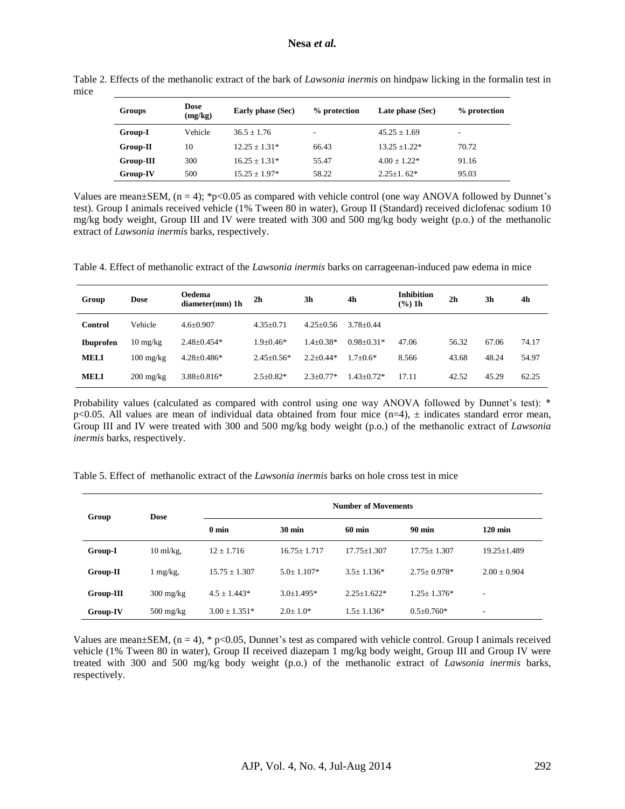| Groups    | <b>Dose</b><br>(mg/kg) | Early phase (Sec) | % protection | Late phase (Sec) | % protection |
|-----------|------------------------|-------------------|--------------|------------------|--------------|
| Group-I   | Vehicle                | $36.5 + 1.76$     | ۰            | $45.25 + 1.69$   | ۰            |
| Group-II  | 10                     | $12.25 + 1.31*$   | 66.43        | $13.25 + 1.22*$  | 70.72        |
| Group-III | 300                    | $16.25 + 1.31*$   | 55.47        | $4.00 + 1.22*$   | 91.16        |
| Group-IV  | 500                    | $15.25 + 1.97*$   | 58.22        | $2.25+1.62*$     | 95.03        |

Table 2. Effects of the methanolic extract of the bark of *Lawsonia inermis* on hindpaw licking in the formalin test in mice

Values are mean $\pm$ SEM, (n = 4); \*p<0.05 as compared with vehicle control (one way ANOVA followed by Dunnet's test). Group I animals received vehicle (1% Tween 80 in water), Group II (Standard) received diclofenac sodium 10 mg/kg body weight, Group III and IV were treated with 300 and 500 mg/kg body weight (p.o.) of the methanolic extract of *Lawsonia inermis* barks, respectively.

Table 4. Effect of methanolic extract of the *Lawsonia inermis* barks on carrageenan-induced paw edema in mice

| Group          | Dose                | <b>Oedema</b><br>$diameter(mm)$ 1h | 2 <sub>h</sub>  | 3h            | 4h             | <b>Inhibition</b><br>$(\frac{6}{6})$ 1h | 2 <sub>h</sub> | 3h    | 4h    |
|----------------|---------------------|------------------------------------|-----------------|---------------|----------------|-----------------------------------------|----------------|-------|-------|
| <b>Control</b> | Vehicle             | $4.6 + 0.907$                      | $4.35+0.71$     | $4.25 + 0.56$ | $3.78 + 0.44$  |                                         |                |       |       |
| Ibuprofen      | $10 \text{ mg/kg}$  | $2.48 \pm 0.454*$                  | $1.9 + 0.46*$   | $1.4 + 0.38*$ | $0.98 + 0.31*$ | 47.06                                   | 56.32          | 67.06 | 74.17 |
| <b>MELI</b>    | $100 \text{ mg/kg}$ | $4.28 \pm 0.486*$                  | $2.45+0.56*$    | $2.2+0.44*$   | $1.7+0.6*$     | 8.566                                   | 43.68          | 48.24 | 54.97 |
| <b>MELI</b>    | $200 \text{ mg/kg}$ | $3.88 \pm 0.816*$                  | $2.5 \pm 0.82*$ | $2.3 + 0.77*$ | $1.43 + 0.72*$ | 17.11                                   | 42.52          | 45.29 | 62.25 |

Probability values (calculated as compared with control using one way ANOVA followed by Dunnet's test): \* p<0.05. All values are mean of individual data obtained from four mice  $(n=4)$ ,  $\pm$  indicates standard error mean, Group III and IV were treated with 300 and 500 mg/kg body weight (p.o.) of the methanolic extract of *Lawsonia inermis* barks, respectively.

|  | Table 5. Effect of methanolic extract of the <i>Lawsonia inermis</i> barks on hole cross test in mice |  |  |  |  |
|--|-------------------------------------------------------------------------------------------------------|--|--|--|--|
|  |                                                                                                       |  |  |  |  |

| Group     | <b>Dose</b>          | <b>Number of Movements</b> |                  |                  |                  |                   |  |  |
|-----------|----------------------|----------------------------|------------------|------------------|------------------|-------------------|--|--|
|           |                      | $0 \text{ min}$            | $30 \text{ min}$ | $60 \text{ min}$ | 90 min           | $120 \text{ min}$ |  |  |
| Group-I   | $10 \text{ ml/kg}$ , | $12 + 1.716$               | $16.75 + 1.717$  | $17.75 + 1.307$  | $17.75 + 1.307$  | $19.25 \pm 1.489$ |  |  |
| Group-II  | $1 \text{ mg/kg}$ ,  | $15.75 \pm 1.307$          | $5.0+1.107*$     | $3.5 \pm 1.136*$ | $2.75+0.978*$    | $2.00 \pm 0.904$  |  |  |
| Group-III | $300 \text{ mg/kg}$  | $4.5 + 1.443*$             | $3.0 \pm 1.495*$ | $2.25 + 1.622$ * | $1.25 + 1.376*$  | ۰                 |  |  |
| Group-IV  | $500 \text{ mg/kg}$  | $3.00 + 1.351*$            | $2.0 \pm 1.0^*$  | $1.5 \pm 1.136*$ | $0.5 \pm 0.760*$ | ۰                 |  |  |

Values are mean $\pm$ SEM, (n = 4), \* p<0.05, Dunnet's test as compared with vehicle control. Group I animals received vehicle (1% Tween 80 in water), Group II received diazepam 1 mg/kg body weight, Group III and Group IV were treated with 300 and 500 mg/kg body weight (p.o.) of the methanolic extract of *Lawsonia inermis* barks, respectively.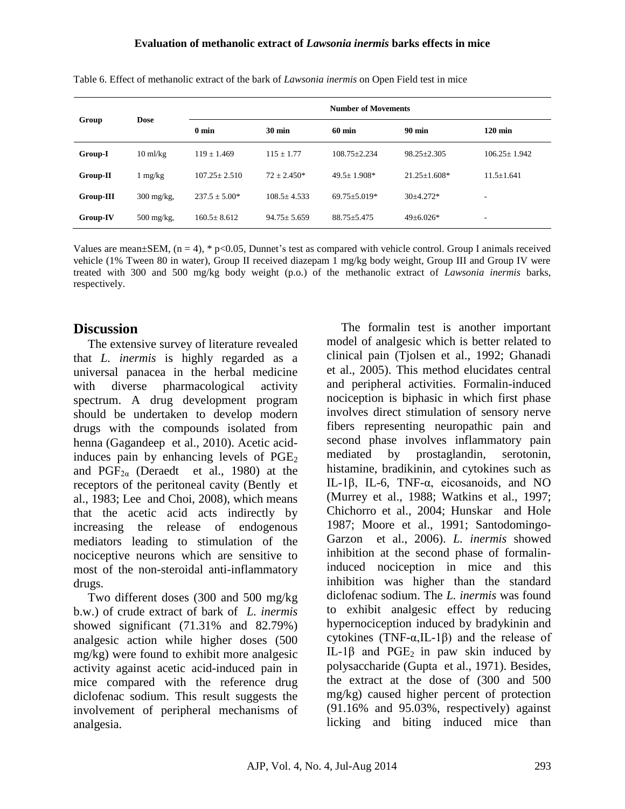| Group       | <b>Dose</b>           |                   | <b>Number of Movements</b> |                    |                  |                    |  |  |  |
|-------------|-----------------------|-------------------|----------------------------|--------------------|------------------|--------------------|--|--|--|
|             |                       | 0 <sub>min</sub>  | $30 \text{ min}$           | $60 \text{ min}$   | $90 \text{ min}$ | $120 \text{ min}$  |  |  |  |
| Group-I     | $10 \text{ m}$ /kg    | $119 + 1.469$     | $115 \pm 1.77$             | $108.75 + 2.234$   | $98.25 + 2.305$  | $106.25 \pm 1.942$ |  |  |  |
| Group-II    | mg/kg                 | $107.25 + 2.510$  | $72 + 2.450*$              | $49.5 + 1.908*$    | $21.25 + 1.608*$ | $11.5 + 1.641$     |  |  |  |
| $Group-III$ | $300 \text{ mg/kg}$ , | $237.5 + 5.00*$   | $108.5 + 4.533$            | $69.75 \pm 5.019*$ | $30+4.272*$      | ۰                  |  |  |  |
| Group-IV    | $500$ mg/kg,          | $160.5 \pm 8.612$ | $94.75 \pm 5.659$          | $88.75 \pm 5.475$  | $49+6.026*$      | ۰.                 |  |  |  |

Table 6. Effect of methanolic extract of the bark of *Lawsonia inermis* on Open Field test in mice

Values are mean $\pm$ SEM, (n = 4), \* p<0.05, Dunnet's test as compared with vehicle control. Group I animals received vehicle (1% Tween 80 in water), Group II received diazepam 1 mg/kg body weight, Group III and Group IV were treated with 300 and 500 mg/kg body weight (p.o.) of the methanolic extract of *Lawsonia inermis* barks, respectively.

# **Discussion**

The extensive survey of literature revealed that *L. inermis* is highly regarded as a universal panacea in the herbal medicine with diverse pharmacological activity spectrum. A drug development program should be undertaken to develop modern drugs with the compounds isolated from henna (Gagandeep et al., 2010). Acetic acidinduces pain by enhancing levels of  $PGE<sub>2</sub>$ and  $PGF_{2\alpha}$  (Deraedt et al., 1980) at the receptors of the peritoneal cavity (Bently et al., 1983; Lee and Choi, 2008), which means that the acetic acid acts indirectly by increasing the release of endogenous mediators leading to stimulation of the nociceptive neurons which are sensitive to most of the non-steroidal anti-inflammatory drugs.

Two different doses (300 and 500 mg/kg b.w.) of crude extract of bark of *L. inermis* showed significant (71.31% and 82.79%) analgesic action while higher doses (500 mg/kg) were found to exhibit more analgesic activity against acetic acid-induced pain in mice compared with the reference drug diclofenac sodium. This result suggests the involvement of peripheral mechanisms of analgesia.

The formalin test is another important model of analgesic which is better related to clinical pain [\(Tjolsen e](http://www.ncbi.nlm.nih.gov/pubmed?term=Tj%C3%B8lsen%20A%5BAuthor%5D&cauthor=true&cauthor_uid=1454405)t al., 1992; Ghanadi et al., 2005). This method elucidates central and peripheral activities. Formalin-induced nociception is biphasic in which first phase involves direct stimulation of sensory nerve fibers representing neuropathic pain and second phase involves inflammatory pain mediated by prostaglandin, serotonin, histamine, bradikinin, and cytokines such as IL-1β, IL-6, TNF-α, eicosanoids, and NO (Murrey et al., 1988; Watkins et al., 1997; Chichorro et al., 2004; Hunskar and Hole 1987; Moore et al., 1991; Santodomingo-Garzon et al., 2006). *L. inermis* showed inhibition at the second phase of formalininduced nociception in mice and this inhibition was higher than the standard diclofenac sodium. The *L. inermis* was found to exhibit analgesic effect by reducing hypernociception induced by bradykinin and cytokines (TNF-α, IL-1β) and the release of IL-1 $\beta$  and PGE<sub>2</sub> in paw skin induced by polysaccharide (Gupta et al., 1971). Besides, the extract at the dose of (300 and 500 mg/kg) caused higher percent of protection (91.16% and 95.03%, respectively) against licking and biting induced mice than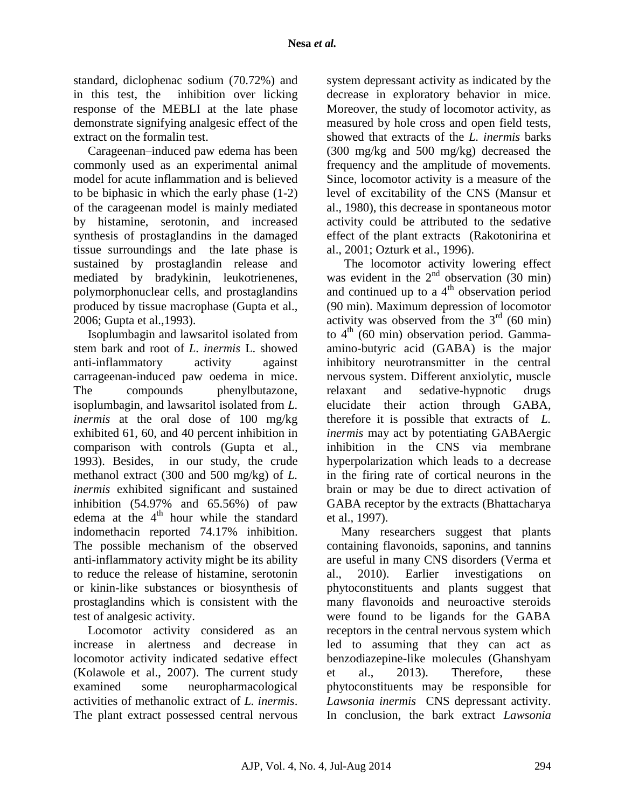standard, diclophenac sodium (70.72%) and in this test, the inhibition over licking response of the MEBLI at the late phase demonstrate signifying analgesic effect of the extract on the formalin test.

Carageenan–induced paw edema has been commonly used as an experimental animal model for acute inflammation and is believed to be biphasic in which the early phase (1-2) of the carageenan model is mainly mediated by histamine, serotonin, and increased synthesis of prostaglandins in the damaged tissue surroundings and the late phase is sustained by prostaglandin release and mediated by bradykinin, leukotrienenes, polymorphonuclear cells, and prostaglandins produced by tissue macrophase (Gupta et al., 2006; Gupta et al.,1993).

Isoplumbagin and lawsaritol isolated from stem bark and root of *L. inermis* L. showed anti-inflammatory activity against carrageenan-induced paw oedema in mice. The compounds phenylbutazone, isoplumbagin, and lawsaritol isolated from *L. inermis* at the oral dose of 100 mg/kg exhibited 61, 60, and 40 percent inhibition in comparison with controls (Gupta et al., 1993). Besides, in our study, the crude methanol extract (300 and 500 mg/kg) of *L. inermis* exhibited significant and sustained inhibition (54.97% and 65.56%) of paw edema at the 4<sup>th</sup> hour while the standard indomethacin reported 74.17% inhibition. The possible mechanism of the observed anti-inflammatory activity might be its ability to reduce the release of histamine, serotonin or kinin-like substances or biosynthesis of prostaglandins which is consistent with the test of analgesic activity.

Locomotor activity considered as an increase in alertness and decrease in locomotor activity indicated sedative effect (Kolawole et al., 2007). The current study examined some neuropharmacological activities of methanolic extract of *L. inermis*. The plant extract possessed central nervous

system depressant activity as indicated by the decrease in exploratory behavior in mice. Moreover, the study of locomotor activity, as measured by hole cross and open field tests, showed that extracts of the *L. inermis* barks (300 mg/kg and 500 mg/kg) decreased the frequency and the amplitude of movements. Since, locomotor activity is a measure of the level of excitability of the CNS (Mansur et al., 1980), this decrease in spontaneous motor activity could be attributed to the sedative effect of the plant extracts (Rakotonirina et al., 2001; Ozturk et al., 1996).

The locomotor activity lowering effect was evident in the  $2<sup>nd</sup>$  observation (30 min) and continued up to a  $4<sup>th</sup>$  observation period (90 min). Maximum depression of locomotor activity was observed from the  $3<sup>rd</sup>$  (60 min) to  $4<sup>th</sup>$  (60 min) observation period. Gammaamino-butyric acid (GABA) is the major inhibitory neurotransmitter in the central nervous system. Different anxiolytic, muscle relaxant and sedative-hypnotic drugs elucidate their action through GABA, therefore it is possible that extracts of *L. inermis* may act by potentiating GABAergic inhibition in the CNS via membrane hyperpolarization which leads to a decrease in the firing rate of cortical neurons in the brain or may be due to direct activation of GABA receptor by the extracts (Bhattacharya et al., 1997).

Many researchers suggest that plants containing flavonoids, saponins, and tannins are useful in many CNS disorders (Verma et al., 2010). Earlier investigations on phytoconstituents and plants suggest that many flavonoids and neuroactive steroids were found to be ligands for the GABA receptors in the central nervous system which led to assuming that they can act as benzodiazepine-like molecules (Ghanshyam et al., 2013). Therefore, these phytoconstituents may be responsible for *Lawsonia inermis* CNS depressant activity. In conclusion, the bark extract *Lawsonia*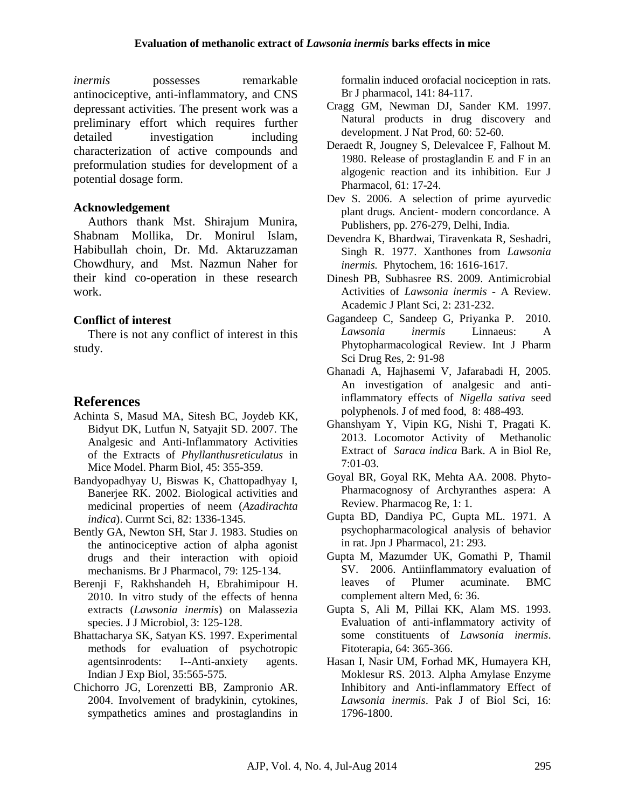*inermis* possesses remarkable antinociceptive, anti-inflammatory, and CNS depressant activities. The present work was a preliminary effort which requires further detailed investigation including characterization of active compounds and preformulation studies for development of a potential dosage form.

### **Acknowledgement**

Authors thank Mst. Shirajum Munira, Shabnam Mollika, Dr. Monirul Islam, Habibullah choin, Dr. Md. Aktaruzzaman Chowdhury, and Mst. Nazmun Naher for their kind co-operation in these research work.

# **Conflict of interest**

There is not any conflict of interest in this study.

# **References**

- [Achinta S,](http://informahealthcare.com/action/doSearch?action=runSearch&type=advanced&result=true&prevSearch=%2Bauthorsfield%3A%28Saha%2C+Achinta%29) [Masud](http://informahealthcare.com/action/doSearch?action=runSearch&type=advanced&result=true&prevSearch=%2Bauthorsfield%3A%28Masud%2C+Mohammad+A.%29) MA, [Sitesh BC](http://informahealthcare.com/action/doSearch?action=runSearch&type=advanced&result=true&prevSearch=%2Bauthorsfield%3A%28Bachar%2C+Sitesh+C.%29), [Joydeb KK](http://informahealthcare.com/action/doSearch?action=runSearch&type=advanced&result=true&prevSearch=%2Bauthorsfield%3A%28Kundu%2C+Joydeb+K.%29), [Bidyut DK](http://informahealthcare.com/action/doSearch?action=runSearch&type=advanced&result=true&prevSearch=%2Bauthorsfield%3A%28Datta%2C+Bidyut+K.%29), [Lutfun N,](http://informahealthcare.com/action/doSearch?action=runSearch&type=advanced&result=true&prevSearch=%2Bauthorsfield%3A%28Nahar%2C+Lutfun%29) [Satyajit SD](http://informahealthcare.com/action/doSearch?action=runSearch&type=advanced&result=true&prevSearch=%2Bauthorsfield%3A%28Sarker%2C+Satyajit+D.%29). 2007. The Analgesic and Anti-Inflammatory Activities of the Extracts of *Phyllanthusreticulatus* in Mice Model. [Pharm Biol,](http://informahealthcare.com/loi/phb) 45: 355-359.
- Bandyopadhyay U, Biswas K, Chattopadhyay I, Banerjee RK. 2002. Biological activities and medicinal properties of neem (*Azadirachta indica*). Currnt Sci, 82: 1336-1345.
- Bently GA, Newton SH, Star J. 1983. Studies on the antinociceptive action of alpha agonist drugs and their interaction with opioid mechanisms. Br J Pharmacol, 79: 125-134.
- Berenji F, Rakhshandeh H, Ebrahimipour H. 2010. In vitro study of the effects of henna extracts (*Lawsonia inermis*) on Malassezia species. J J Microbiol, 3: 125-128.
- Bhattacharya SK, Satyan KS. 1997. Experimental methods for evaluation of psychotropic agentsinrodents: I--Anti-anxiety agents. Indian J Exp Biol, 35:565-575.
- Chichorro JG, Lorenzetti BB, Zampronio AR. 2004. Involvement of bradykinin, cytokines, sympathetics amines and prostaglandins in

formalin induced orofacial nociception in rats. Br J pharmacol, 141: 84-117.

- Cragg GM, Newman DJ, Sander KM. 1997. Natural products in drug discovery and development. J Nat Prod, 60: 52-60.
- Deraedt R, Jougney S, Delevalcee F, Falhout M. 1980. Release of prostaglandin E and F in an algogenic reaction and its inhibition. Eur J Pharmacol, 61: 17-24.
- Dev S. 2006. A selection of prime ayurvedic plant drugs. Ancient- modern concordance. A Publishers, pp. 276-279, Delhi, India.
- Devendra K, Bhardwai, Tiravenkata R, Seshadri, Singh R. 1977. Xanthones from *Lawsonia inermis.* Phytochem*,* 16: 1616-1617.
- Dinesh PB, Subhasree RS. 2009. Antimicrobial Activities of *Lawsonia inermis* - A Review. Academic J Plant Sci, 2: 231-232.
- Gagandeep C, Sandeep G, Priyanka P. 2010. *Lawsonia inermis* Linnaeus: A Phytopharmacological Review. Int J Pharm Sci Drug Res, 2: 91-98
- Ghanadi A, Hajhasemi V, Jafarabadi H, 2005. An investigation of analgesic and antiinflammatory effects of *Nigella sativa* seed polyphenols. J of med food, 8: 488-493.
- Ghanshyam Y, Vipin KG, Nishi T, Pragati K. 2013. Locomotor Activity of Methanolic Extract of *Saraca indica* Bark. A in Biol Re, 7:01-03.
- Goyal BR, Goyal RK, Mehta AA. 2008. Phyto-Pharmacognosy of Archyranthes aspera: A Review. Pharmacog Re, 1: 1.
- Gupta BD, Dandiya PC, Gupta ML. 1971. A psychopharmacological analysis of behavior in rat. Jpn J Pharmacol, 21: 293.
- Gupta M, Mazumder UK, Gomathi P, Thamil SV. 2006. Antiinflammatory evaluation of leaves of Plumer acuminate. BMC complement altern Med, 6: 36.
- Gupta S, Ali M, Pillai KK, Alam MS. 1993. Evaluation of anti-inflammatory activity of some constituents of *Lawsonia inermis*. Fitoterapia, 64: 365-366.
- Hasan I, Nasir UM, Forhad MK, Humayera KH, Moklesur RS. 2013. Alpha Amylase Enzyme Inhibitory and Anti-inflammatory Effect of *Lawsonia inermis*. Pak J of Biol Sci, 16: 1796-1800.